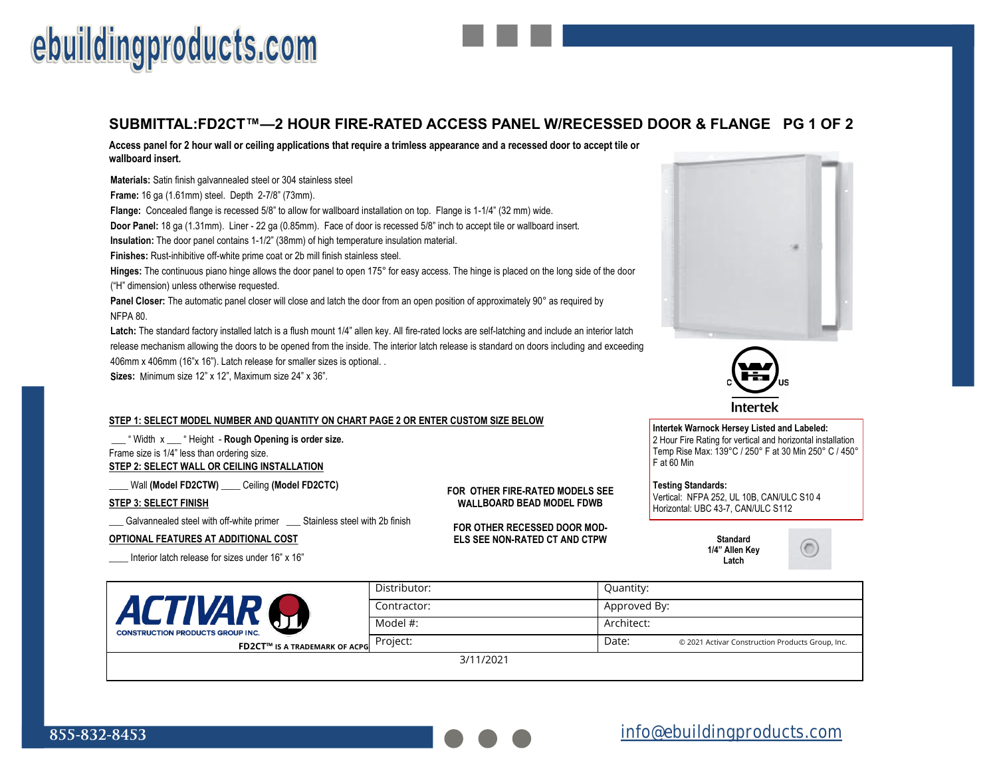# ebuildingproducts.com

### **SUBMITTAL:FD2CT™—2 HOUR FIRE-RATED ACCESS PANEL W/RECESSED DOOR & FLANGE PG 1 OF 2**

**Access panel for 2 hour wall or ceiling applications that require a trimless appearance and a recessed door to accept tile or wallboard insert.** 

**Materials:** Satin finish galvannealed steel or 304 stainless steel **Frame:** 16 ga (1.61mm) steel. Depth 2-7/8" (73mm). **Flange:** Concealed flange is recessed 5/8" to allow for wallboard installation on top. Flange is 1-1/4" (32 mm) wide. **Door Panel:** 18 ga (1.31mm). Liner - 22 ga (0.85mm). Face of door is recessed 5/8" inch to accept tile or wallboard insert. **Insulation:** The door panel contains 1-1/2" (38mm) of high temperature insulation material. **Finishes:** Rust-inhibitive off-white prime coat or 2b mill finish stainless steel. **Hinges:** The continuous piano hinge allows the door panel to open 175° for easy access. The hinge is placed on the long side of the door ("H" dimension) unless otherwise requested. **Panel Closer:** The automatic panel closer will close and latch the door from an open position of approximately 90° as required by NFPA 80.

**Latch:** The standard factory installed latch is a flush mount 1/4" allen key. All fire-rated locks are self-latching and include an interior latch release mechanism allowing the doors to be opened from the inside. The interior latch release is standard on doors including and exceeding 406mm x 406mm (16"x 16"). Latch release for smaller sizes is optional. .

**Sizes:** Minimum size 12" x 12", Maximum size 24" x 36".

#### **STEP 1: SELECT MODEL NUMBER AND QUANTITY ON CHART PAGE 2 OR ENTER CUSTOM SIZE BELOW**

\_\_\_ " Width x \_\_\_ " Height - **Rough Opening is order size.**  Frame size is 1/4" less than ordering size. **STEP 2: SELECT WALL OR CEILING INSTALLATION**

\_\_\_\_ Wall **(Model FD2CTW)** \_\_\_\_ Ceiling **(Model FD2CTC)**

#### **STEP 3: SELECT FINISH**

**\_\_\_** Galvannealed steel with off-white primer \_\_\_ Stainless steel with 2b finish

#### **OPTIONAL FEATURES AT ADDITIONAL COST**

Interior latch release for sizes under 16" x 16"

**FOR OTHER FIRE-RATED MODELS SEE WALLBOARD BEAD MODEL FDWB**

**FOR OTHER RECESSED DOOR MOD-ELS SEE NON-RATED CT AND CTPW Standard**



Intertek

**Intertek Warnock Hersey Listed and Labeled:**  2 Hour Fire Rating for vertical and horizontal installation

Temp Rise Max: 139°C / 250° F at 30 Min 250° C / 450° F at 60 Min

**Testing Standards:** Vertical: NFPA 252, UL 10B, CAN/ULC S10 4 Horizontal: UBC 43-7, CAN/ULC S112

> **1/4" Allen Key Latch**



| <b>ACTIVAP</b><br><b>CONSTRUCTION PRODUCTS GROUP INC.</b><br><b>FD2CT™ IS A TRADEMARK OF ACPG</b> | Distributor: | Quantity:    |                                                  |
|---------------------------------------------------------------------------------------------------|--------------|--------------|--------------------------------------------------|
|                                                                                                   | Contractor:  | Approved By: |                                                  |
|                                                                                                   | Model #:     | Architect:   |                                                  |
|                                                                                                   | Project:     | Date:        | © 2021 Activar Construction Products Group, Inc. |
|                                                                                                   | 3/11/2021    |              |                                                  |